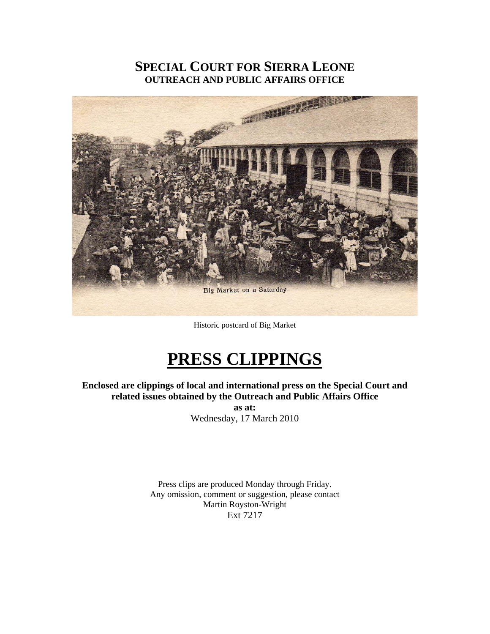# **SPECIAL COURT FOR SIERRA LEONE OUTREACH AND PUBLIC AFFAIRS OFFICE**



Historic postcard of Big Market

# **PRESS CLIPPINGS**

**Enclosed are clippings of local and international press on the Special Court and related issues obtained by the Outreach and Public Affairs Office as at:** 

Wednesday, 17 March 2010

Press clips are produced Monday through Friday. Any omission, comment or suggestion, please contact Martin Royston-Wright Ext 7217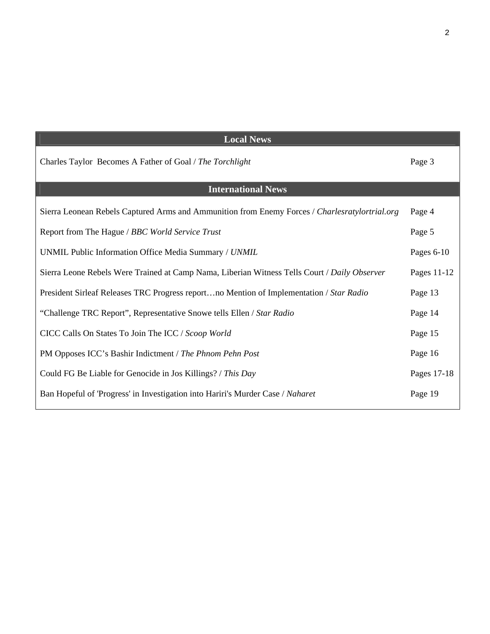| <b>Local News</b>                                                                              |              |
|------------------------------------------------------------------------------------------------|--------------|
| Charles Taylor Becomes A Father of Goal / The Torchlight                                       | Page 3       |
| <b>International News</b>                                                                      |              |
| Sierra Leonean Rebels Captured Arms and Ammunition from Enemy Forces / Charlesratylortrial.org | Page 4       |
| Report from The Hague / BBC World Service Trust                                                | Page 5       |
| UNMIL Public Information Office Media Summary / UNMIL                                          | Pages $6-10$ |
| Sierra Leone Rebels Were Trained at Camp Nama, Liberian Witness Tells Court / Daily Observer   | Pages 11-12  |
| President Sirleaf Releases TRC Progress reportno Mention of Implementation / Star Radio        | Page 13      |
| "Challenge TRC Report", Representative Snowe tells Ellen / Star Radio                          | Page 14      |
| CICC Calls On States To Join The ICC / Scoop World                                             | Page 15      |
| PM Opposes ICC's Bashir Indictment / The Phnom Pehn Post                                       | Page 16      |
| Could FG Be Liable for Genocide in Jos Killings? / This Day                                    | Pages 17-18  |
| Ban Hopeful of 'Progress' in Investigation into Hariri's Murder Case / Naharet                 | Page 19      |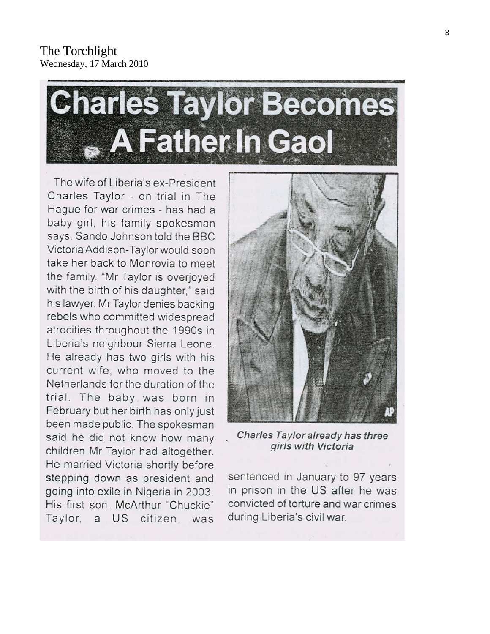The Torchlight Wednesday, 17 March 2010



The wife of Liberia's ex-President Charles Taylor - on trial in The Hague for war crimes - has had a baby girl, his family spokesman says. Sando Johnson told the BBC Victoria Addison-Taylor would soon take her back to Monrovia to meet the family. "Mr Taylor is overjoyed with the birth of his daughter," said his lawyer. Mr Taylor denies backing rebels who committed widespread atrocities throughout the 1990s in Liberia's neighbour Sierra Leone. He already has two girls with his current wife, who moved to the Netherlands for the duration of the trial. The baby was born in February but her birth has only just been made public. The spokesman said he did not know how many children Mr Taylor had altogether. He married Victoria shortly before stepping down as president and going into exile in Nigeria in 2003. His first son, McArthur "Chuckie" Taylor, a US citizen, was



Charles Taylor already has three girls with Victoria

sentenced in January to 97 years in prison in the US after he was convicted of torture and war crimes during Liberia's civil war.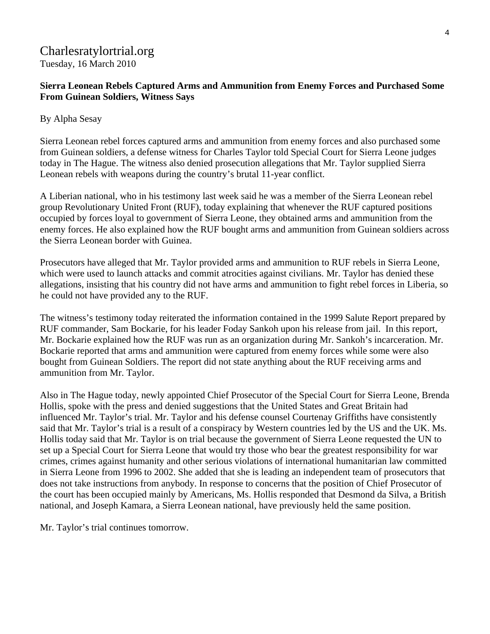# Charlesratylortrial.org Tuesday, 16 March 2010

### **Sierra Leonean Rebels Captured Arms and Ammunition from Enemy Forces and Purchased Some From Guinean Soldiers, Witness Says**

### By Alpha Sesay

Sierra Leonean rebel forces captured arms and ammunition from enemy forces and also purchased some from Guinean soldiers, a defense witness for Charles Taylor told Special Court for Sierra Leone judges today in The Hague. The witness also denied prosecution allegations that Mr. Taylor supplied Sierra Leonean rebels with weapons during the country's brutal 11-year conflict.

A Liberian national, who in his testimony last week said he was a member of the Sierra Leonean rebel group Revolutionary United Front (RUF), today explaining that whenever the RUF captured positions occupied by forces loyal to government of Sierra Leone, they obtained arms and ammunition from the enemy forces. He also explained how the RUF bought arms and ammunition from Guinean soldiers across the Sierra Leonean border with Guinea.

Prosecutors have alleged that Mr. Taylor provided arms and ammunition to RUF rebels in Sierra Leone, which were used to launch attacks and commit atrocities against civilians. Mr. Taylor has denied these allegations, insisting that his country did not have arms and ammunition to fight rebel forces in Liberia, so he could not have provided any to the RUF.

The witness's testimony today reiterated the information contained in the 1999 Salute Report prepared by RUF commander, Sam Bockarie, for his leader Foday Sankoh upon his release from jail. In this report, Mr. Bockarie explained how the RUF was run as an organization during Mr. Sankoh's incarceration. Mr. Bockarie reported that arms and ammunition were captured from enemy forces while some were also bought from Guinean Soldiers. The report did not state anything about the RUF receiving arms and ammunition from Mr. Taylor.

Also in The Hague today, newly appointed Chief Prosecutor of the Special Court for Sierra Leone, Brenda Hollis, spoke with the press and denied suggestions that the United States and Great Britain had influenced Mr. Taylor's trial. Mr. Taylor and his defense counsel Courtenay Griffiths have consistently said that Mr. Taylor's trial is a result of a conspiracy by Western countries led by the US and the UK. Ms. Hollis today said that Mr. Taylor is on trial because the government of Sierra Leone requested the UN to set up a Special Court for Sierra Leone that would try those who bear the greatest responsibility for war crimes, crimes against humanity and other serious violations of international humanitarian law committed in Sierra Leone from 1996 to 2002. She added that she is leading an independent team of prosecutors that does not take instructions from anybody. In response to concerns that the position of Chief Prosecutor of the court has been occupied mainly by Americans, Ms. Hollis responded that Desmond da Silva, a British national, and Joseph Kamara, a Sierra Leonean national, have previously held the same position.

Mr. Taylor's trial continues tomorrow.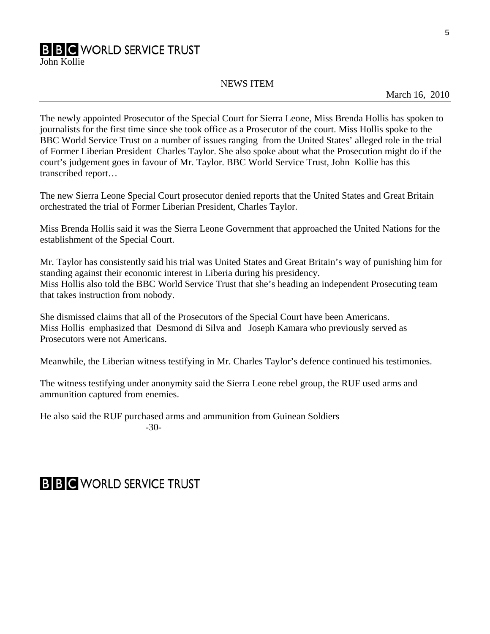# **B B C** WORLD SERVICE TRUST

John Kollie

#### NEWS ITEM

March 16, 2010

The newly appointed Prosecutor of the Special Court for Sierra Leone, Miss Brenda Hollis has spoken to journalists for the first time since she took office as a Prosecutor of the court. Miss Hollis spoke to the BBC World Service Trust on a number of issues ranging from the United States' alleged role in the trial of Former Liberian President Charles Taylor. She also spoke about what the Prosecution might do if the court's judgement goes in favour of Mr. Taylor. BBC World Service Trust, John Kollie has this transcribed report…

The new Sierra Leone Special Court prosecutor denied reports that the United States and Great Britain orchestrated the trial of Former Liberian President, Charles Taylor.

Miss Brenda Hollis said it was the Sierra Leone Government that approached the United Nations for the establishment of the Special Court.

Mr. Taylor has consistently said his trial was United States and Great Britain's way of punishing him for standing against their economic interest in Liberia during his presidency. Miss Hollis also told the BBC World Service Trust that she's heading an independent Prosecuting team that takes instruction from nobody.

She dismissed claims that all of the Prosecutors of the Special Court have been Americans. Miss Hollis emphasized that Desmond di Silva and Joseph Kamara who previously served as Prosecutors were not Americans.

Meanwhile, the Liberian witness testifying in Mr. Charles Taylor's defence continued his testimonies.

The witness testifying under anonymity said the Sierra Leone rebel group, the RUF used arms and ammunition captured from enemies.

He also said the RUF purchased arms and ammunition from Guinean Soldiers -30-

# **B B C** WORLD SERVICE TRUST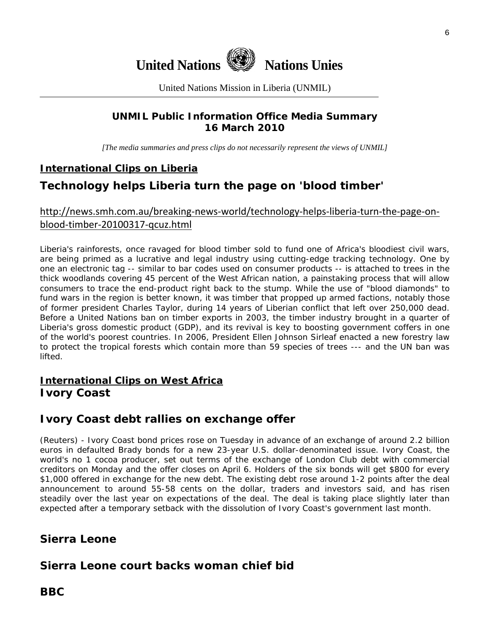

United Nations Mission in Liberia (UNMIL)

# **UNMIL Public Information Office Media Summary 16 March 2010**

*[The media summaries and press clips do not necessarily represent the views of UNMIL]* 

# **International Clips on Liberia**

# **Technology helps Liberia turn the page on 'blood timber'**

# [http://news.smh.com.au/breaking](http://news.smh.com.au/breaking-news-world/technology-helps-liberia-turn-the-page-on-blood-timber-20100317-qcuz.html)‐news‐world/technology‐helps‐liberia‐turn‐the‐page‐on‐ blood‐timber‐[20100317](http://news.smh.com.au/breaking-news-world/technology-helps-liberia-turn-the-page-on-blood-timber-20100317-qcuz.html)‐qcuz.html

Liberia's rainforests, once ravaged for blood timber sold to fund one of Africa's bloodiest civil wars, are being primed as a lucrative and legal industry using cutting-edge tracking technology. One by one an electronic tag -- similar to bar codes used on consumer products -- is attached to trees in the thick woodlands covering 45 percent of the West African nation, a painstaking process that will allow consumers to trace the end-product right back to the stump. While the use of "blood diamonds" to fund wars in the region is better known, it was timber that propped up armed factions, notably those of former president Charles Taylor, during 14 years of Liberian conflict that left over 250,000 dead. Before a United Nations ban on timber exports in 2003, the timber industry brought in a quarter of Liberia's gross domestic product (GDP), and its revival is key to boosting government coffers in one of the world's poorest countries. In 2006, President Ellen Johnson Sirleaf enacted a new forestry law to protect the tropical forests which contain more than 59 species of trees --- and the UN ban was lifted.

# **International Clips on West Africa Ivory Coast**

# **Ivory Coast debt rallies on exchange offer**

(Reuters) - Ivory Coast bond prices rose on Tuesday in advance of an exchange of around 2.2 billion euros in defaulted Brady bonds for a new 23-year U.S. dollar-denominated issue. Ivory Coast, the world's no 1 cocoa producer, set out terms of the exchange of London Club debt with commercial creditors on Monday and the offer closes on April 6. Holders of the six bonds will get \$800 for every \$1,000 offered in exchange for the new debt. The existing debt rose around 1-2 points after the deal announcement to around 55-58 cents on the dollar, traders and investors said, and has risen steadily over the last year on expectations of the deal. The deal is taking place slightly later than expected after a temporary setback with the dissolution of Ivory Coast's government last month.

# **Sierra Leone**

# **Sierra Leone court backs woman chief bid**

# **BBC**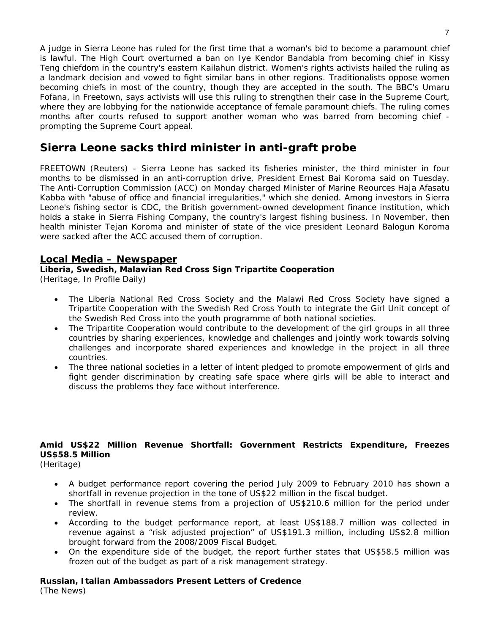A judge in Sierra Leone has ruled for the first time that a woman's bid to become a paramount chief is lawful. The High Court overturned a ban on Iye Kendor Bandabla from becoming chief in Kissy Teng chiefdom in the country's eastern Kailahun district. Women's rights activists hailed the ruling as a landmark decision and vowed to fight similar bans in other regions. Traditionalists oppose women becoming chiefs in most of the country, though they are accepted in the south. The BBC's Umaru Fofana, in Freetown, says activists will use this ruling to strengthen their case in the Supreme Court, where they are lobbying for the nationwide acceptance of female paramount chiefs. The ruling comes months after courts refused to support another woman who was barred from becoming chief prompting the Supreme Court appeal.

# **Sierra Leone sacks third minister in anti-graft probe**

FREETOWN (Reuters) - Sierra Leone has sacked its fisheries minister, the third minister in four months to be dismissed in an anti-corruption drive, President Ernest Bai Koroma said on Tuesday. The Anti-Corruption Commission (ACC) on Monday charged Minister of Marine Reources Haja Afasatu Kabba with "abuse of office and financial irregularities," which she denied. Among investors in Sierra Leone's fishing sector is CDC, the British government-owned development finance institution, which holds a stake in Sierra Fishing Company, the country's largest fishing business. In November, then health minister Tejan Koroma and minister of state of the vice president Leonard Balogun Koroma were sacked after the ACC accused them of corruption.

#### **Local Media – Newspaper**

**Liberia, Swedish, Malawian Red Cross Sign Tripartite Cooperation**  (Heritage, In Profile Daily)

- The Liberia National Red Cross Society and the Malawi Red Cross Society have signed a Tripartite Cooperation with the Swedish Red Cross Youth to integrate the Girl Unit concept of the Swedish Red Cross into the youth programme of both national societies.
- The Tripartite Cooperation would contribute to the development of the girl groups in all three countries by sharing experiences, knowledge and challenges and jointly work towards solving challenges and incorporate shared experiences and knowledge in the project in all three countries.
- The three national societies in a letter of intent pledged to promote empowerment of girls and fight gender discrimination by creating safe space where girls will be able to interact and discuss the problems they face without interference.

### **Amid US\$22 Million Revenue Shortfall: Government Restricts Expenditure, Freezes US\$58.5 Million**

(Heritage)

- A budget performance report covering the period July 2009 to February 2010 has shown a shortfall in revenue projection in the tone of US\$22 million in the fiscal budget.
- The shortfall in revenue stems from a projection of US\$210.6 million for the period under review.
- According to the budget performance report, at least US\$188.7 million was collected in revenue against a "risk adjusted projection" of US\$191.3 million, including US\$2.8 million brought forward from the 2008/2009 Fiscal Budget.
- On the expenditure side of the budget, the report further states that US\$58.5 million was frozen out of the budget as part of a risk management strategy.

# **Russian, Italian Ambassadors Present Letters of Credence**

(The News)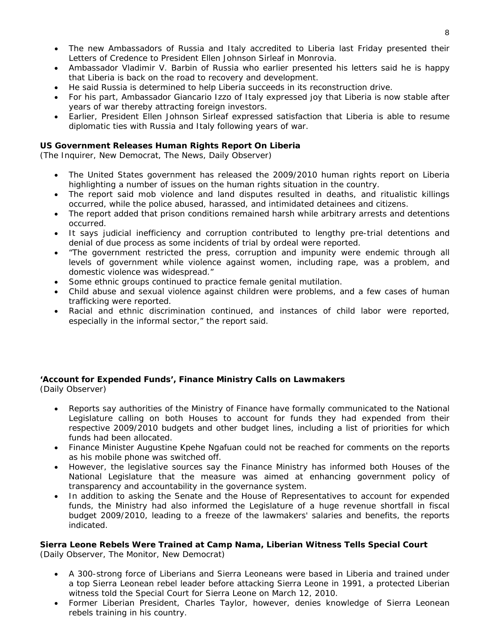- The new Ambassadors of Russia and Italy accredited to Liberia last Friday presented their Letters of Credence to President Ellen Johnson Sirleaf in Monrovia.
- Ambassador Vladimir V. Barbin of Russia who earlier presented his letters said he is happy that Liberia is back on the road to recovery and development.
- He said Russia is determined to help Liberia succeeds in its reconstruction drive.
- For his part, Ambassador Giancario Izzo of Italy expressed joy that Liberia is now stable after years of war thereby attracting foreign investors.
- Earlier, President Ellen Johnson Sirleaf expressed satisfaction that Liberia is able to resume diplomatic ties with Russia and Italy following years of war.

#### **US Government Releases Human Rights Report On Liberia**

(The Inquirer, New Democrat, The News, Daily Observer)

- The United States government has released the 2009/2010 human rights report on Liberia highlighting a number of issues on the human rights situation in the country.
- The report said mob violence and land disputes resulted in deaths, and ritualistic killings occurred, while the police abused, harassed, and intimidated detainees and citizens.
- The report added that prison conditions remained harsh while arbitrary arrests and detentions occurred.
- It says judicial inefficiency and corruption contributed to lengthy pre-trial detentions and denial of due process as some incidents of trial by ordeal were reported.
- "The government restricted the press, corruption and impunity were endemic through all levels of government while violence against women, including rape, was a problem, and domestic violence was widespread."
- Some ethnic groups continued to practice female genital mutilation.
- Child abuse and sexual violence against children were problems, and a few cases of human trafficking were reported.
- Racial and ethnic discrimination continued, and instances of child labor were reported, especially in the informal sector," the report said.

#### **'Account for Expended Funds', Finance Ministry Calls on Lawmakers**

(Daily Observer)

- Reports say authorities of the Ministry of Finance have formally communicated to the National Legislature calling on both Houses to account for funds they had expended from their respective 2009/2010 budgets and other budget lines, including a list of priorities for which funds had been allocated.
- Finance Minister Augustine Kpehe Ngafuan could not be reached for comments on the reports as his mobile phone was switched off.
- However, the legislative sources say the Finance Ministry has informed both Houses of the National Legislature that the measure was aimed at enhancing government policy of transparency and accountability in the governance system.
- In addition to asking the Senate and the House of Representatives to account for expended funds, the Ministry had also informed the Legislature of a huge revenue shortfall in fiscal budget 2009/2010, leading to a freeze of the lawmakers' salaries and benefits, the reports indicated.

#### **Sierra Leone Rebels Were Trained at Camp Nama, Liberian Witness Tells Special Court**  (Daily Observer, The Monitor, New Democrat)

- A 300-strong force of Liberians and Sierra Leoneans were based in Liberia and trained under a top Sierra Leonean rebel leader before attacking Sierra Leone in 1991, a protected Liberian witness told the Special Court for Sierra Leone on March 12, 2010.
- Former Liberian President, Charles Taylor, however, denies knowledge of Sierra Leonean rebels training in his country.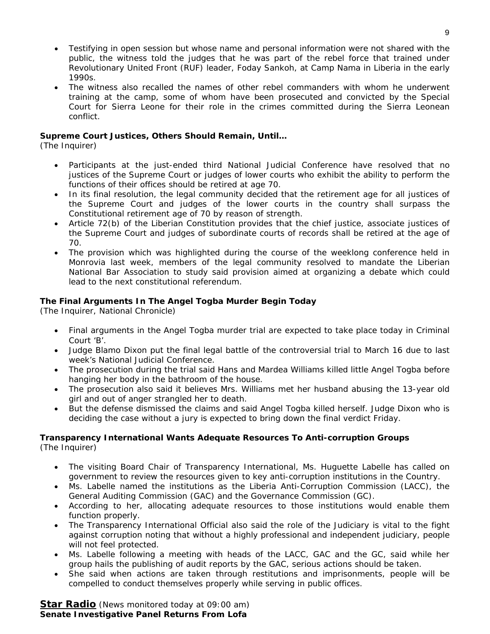- Testifying in open session but whose name and personal information were not shared with the public, the witness told the judges that he was part of the rebel force that trained under Revolutionary United Front (RUF) leader, Foday Sankoh, at Camp Nama in Liberia in the early 1990s.
- The witness also recalled the names of other rebel commanders with whom he underwent training at the camp, some of whom have been prosecuted and convicted by the Special Court for Sierra Leone for their role in the crimes committed during the Sierra Leonean conflict.

#### **Supreme Court Justices, Others Should Remain, Until…**

(The Inquirer)

- Participants at the just-ended third National Judicial Conference have resolved that no justices of the Supreme Court or judges of lower courts who exhibit the ability to perform the functions of their offices should be retired at age 70.
- In its final resolution, the legal community decided that the retirement age for all justices of the Supreme Court and judges of the lower courts in the country shall surpass the Constitutional retirement age of 70 by reason of strength.
- Article 72(b) of the Liberian Constitution provides that the chief justice, associate justices of the Supreme Court and judges of subordinate courts of records shall be retired at the age of 70.
- The provision which was highlighted during the course of the weeklong conference held in Monrovia last week, members of the legal community resolved to mandate the Liberian National Bar Association to study said provision aimed at organizing a debate which could lead to the next constitutional referendum.

#### **The Final Arguments In The Angel Togba Murder Begin Today**

(The Inquirer, National Chronicle)

- Final arguments in the Angel Togba murder trial are expected to take place today in Criminal Court 'B'.
- Judge Blamo Dixon put the final legal battle of the controversial trial to March 16 due to last week's National Judicial Conference.
- The prosecution during the trial said Hans and Mardea Williams killed little Angel Togba before hanging her body in the bathroom of the house.
- The prosecution also said it believes Mrs. Williams met her husband abusing the 13-year old girl and out of anger strangled her to death.
- But the defense dismissed the claims and said Angel Togba killed herself. Judge Dixon who is deciding the case without a jury is expected to bring down the final verdict Friday.

#### **Transparency International Wants Adequate Resources To Anti-corruption Groups**  (The Inquirer)

- The visiting Board Chair of Transparency International, Ms. Huguette Labelle has called on government to review the resources given to key anti-corruption institutions in the Country.
- Ms. Labelle named the institutions as the Liberia Anti-Corruption Commission (LACC), the General Auditing Commission (GAC) and the Governance Commission (GC).
- According to her, allocating adequate resources to those institutions would enable them function properly.
- The Transparency International Official also said the role of the Judiciary is vital to the fight against corruption noting that without a highly professional and independent judiciary, people will not feel protected.
- Ms. Labelle following a meeting with heads of the LACC, GAC and the GC, said while her group hails the publishing of audit reports by the GAC, serious actions should be taken.
- She said when actions are taken through restitutions and imprisonments, people will be compelled to conduct themselves properly while serving in public offices.

**Star Radio** *(News monitored today at 09:00 am)* **Senate Investigative Panel Returns From Lofa**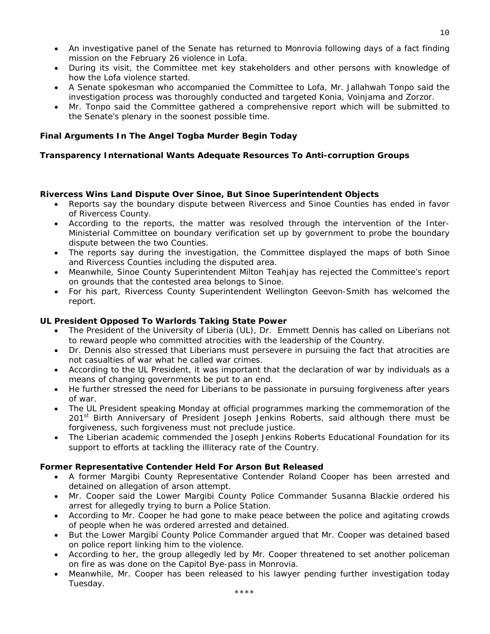- An investigative panel of the Senate has returned to Monrovia following days of a fact finding mission on the February 26 violence in Lofa.
- During its visit, the Committee met key stakeholders and other persons with knowledge of how the Lofa violence started.
- A Senate spokesman who accompanied the Committee to Lofa, Mr. Jallahwah Tonpo said the investigation process was thoroughly conducted and targeted Konia, Voinjama and Zorzor.
- Mr. Tonpo said the Committee gathered a comprehensive report which will be submitted to the Senate's plenary in the soonest possible time.

#### **Final Arguments In The Angel Togba Murder Begin Today**

#### **Transparency International Wants Adequate Resources To Anti-corruption Groups**

#### **Rivercess Wins Land Dispute Over Sinoe, But Sinoe Superintendent Objects**

- Reports say the boundary dispute between Rivercess and Sinoe Counties has ended in favor of Rivercess County.
- According to the reports, the matter was resolved through the intervention of the Inter-Ministerial Committee on boundary verification set up by government to probe the boundary dispute between the two Counties.
- The reports say during the investigation, the Committee displayed the maps of both Sinoe and Rivercess Counties including the disputed area.
- Meanwhile, Sinoe County Superintendent Milton Teahjay has rejected the Committee's report on grounds that the contested area belongs to Sinoe.
- For his part, Rivercess County Superintendent Wellington Geevon-Smith has welcomed the report.

#### **UL President Opposed To Warlords Taking State Power**

- The President of the University of Liberia (UL), Dr. Emmett Dennis has called on Liberians not to reward people who committed atrocities with the leadership of the Country.
- Dr. Dennis also stressed that Liberians must persevere in pursuing the fact that atrocities are not casualties of war what he called war crimes.
- According to the UL President, it was important that the declaration of war by individuals as a means of changing governments be put to an end.
- He further stressed the need for Liberians to be passionate in pursuing forgiveness after years of war.
- The UL President speaking Monday at official programmes marking the commemoration of the 201<sup>st</sup> Birth Anniversary of President Joseph Jenkins Roberts, said although there must be forgiveness, such forgiveness must not preclude justice.
- The Liberian academic commended the Joseph Jenkins Roberts Educational Foundation for its support to efforts at tackling the illiteracy rate of the Country.

#### **Former Representative Contender Held For Arson But Released**

- A former Margibi County Representative Contender Roland Cooper has been arrested and detained on allegation of arson attempt.
- Mr. Cooper said the Lower Margibi County Police Commander Susanna Blackie ordered his arrest for allegedly trying to burn a Police Station.
- According to Mr. Cooper he had gone to make peace between the police and agitating crowds of people when he was ordered arrested and detained.
- But the Lower Margibi County Police Commander argued that Mr. Cooper was detained based on police report linking him to the violence.
- According to her, the group allegedly led by Mr. Cooper threatened to set another policeman on fire as was done on the Capitol Bye-pass in Monrovia.
- Meanwhile, Mr. Cooper has been released to his lawyer pending further investigation today Tuesday.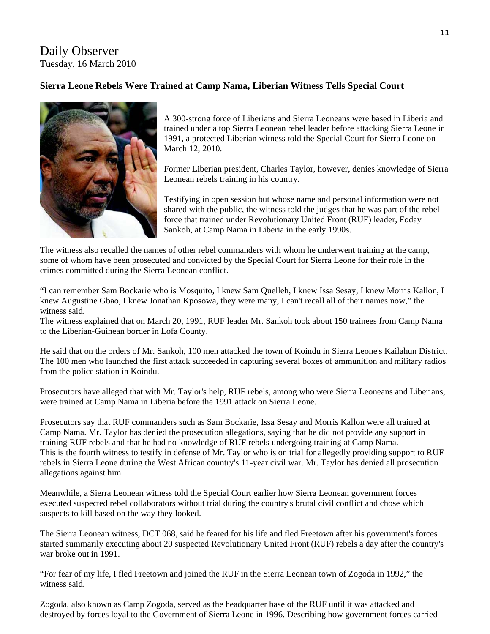# Daily Observer Tuesday, 16 March 2010

### **Sierra Leone Rebels Were Trained at Camp Nama, Liberian Witness Tells Special Court**



A 300-strong force of Liberians and Sierra Leoneans were based in Liberia and trained under a top Sierra Leonean rebel leader before attacking Sierra Leone in 1991, a protected Liberian witness told the Special Court for Sierra Leone on March 12, 2010.

Former Liberian president, Charles Taylor, however, denies knowledge of Sierra Leonean rebels training in his country.

Testifying in open session but whose name and personal information were not shared with the public, the witness told the judges that he was part of the rebel force that trained under Revolutionary United Front (RUF) leader, Foday Sankoh, at Camp Nama in Liberia in the early 1990s.

The witness also recalled the names of other rebel commanders with whom he underwent training at the camp, some of whom have been prosecuted and convicted by the Special Court for Sierra Leone for their role in the crimes committed during the Sierra Leonean conflict.

"I can remember Sam Bockarie who is Mosquito, I knew Sam Quelleh, I knew Issa Sesay, I knew Morris Kallon, I knew Augustine Gbao, I knew Jonathan Kposowa, they were many, I can't recall all of their names now," the witness said.

The witness explained that on March 20, 1991, RUF leader Mr. Sankoh took about 150 trainees from Camp Nama to the Liberian-Guinean border in Lofa County.

He said that on the orders of Mr. Sankoh, 100 men attacked the town of Koindu in Sierra Leone's Kailahun District. The 100 men who launched the first attack succeeded in capturing several boxes of ammunition and military radios from the police station in Koindu.

Prosecutors have alleged that with Mr. Taylor's help, RUF rebels, among who were Sierra Leoneans and Liberians, were trained at Camp Nama in Liberia before the 1991 attack on Sierra Leone.

Prosecutors say that RUF commanders such as Sam Bockarie, Issa Sesay and Morris Kallon were all trained at Camp Nama. Mr. Taylor has denied the prosecution allegations, saying that he did not provide any support in training RUF rebels and that he had no knowledge of RUF rebels undergoing training at Camp Nama. This is the fourth witness to testify in defense of Mr. Taylor who is on trial for allegedly providing support to RUF rebels in Sierra Leone during the West African country's 11-year civil war. Mr. Taylor has denied all prosecution allegations against him.

Meanwhile, a Sierra Leonean witness told the Special Court earlier how Sierra Leonean government forces executed suspected rebel collaborators without trial during the country's brutal civil conflict and chose which suspects to kill based on the way they looked.

The Sierra Leonean witness, DCT 068, said he feared for his life and fled Freetown after his government's forces started summarily executing about 20 suspected Revolutionary United Front (RUF) rebels a day after the country's war broke out in 1991.

"For fear of my life, I fled Freetown and joined the RUF in the Sierra Leonean town of Zogoda in 1992," the witness said.

Zogoda, also known as Camp Zogoda, served as the headquarter base of the RUF until it was attacked and destroyed by forces loyal to the Government of Sierra Leone in 1996. Describing how government forces carried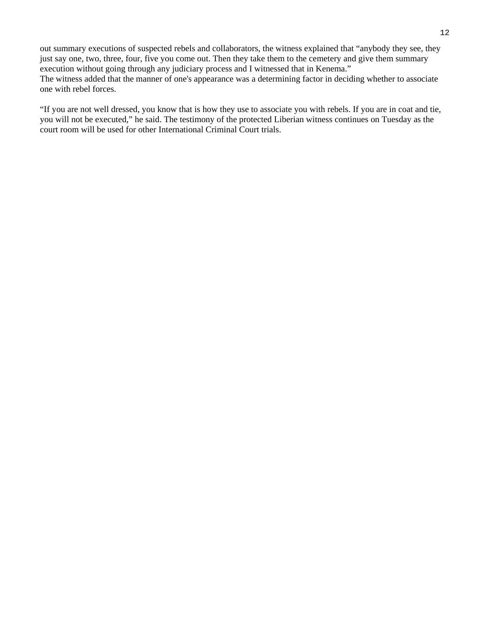out summary executions of suspected rebels and collaborators, the witness explained that "anybody they see, they just say one, two, three, four, five you come out. Then they take them to the cemetery and give them summary execution without going through any judiciary process and I witnessed that in Kenema." The witness added that the manner of one's appearance was a determining factor in deciding whether to associate one with rebel forces.

"If you are not well dressed, you know that is how they use to associate you with rebels. If you are in coat and tie, you will not be executed," he said. The testimony of the protected Liberian witness continues on Tuesday as the court room will be used for other International Criminal Court trials.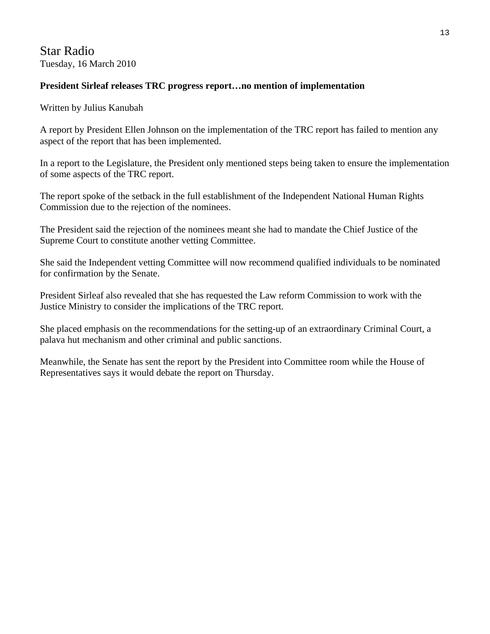# Star Radio Tuesday, 16 March 2010

### **President Sirleaf releases TRC progress report…no mention of implementation**

#### Written by Julius Kanubah

A report by President Ellen Johnson on the implementation of the TRC report has failed to mention any aspect of the report that has been implemented.

In a report to the Legislature, the President only mentioned steps being taken to ensure the implementation of some aspects of the TRC report.

The report spoke of the setback in the full establishment of the Independent National Human Rights Commission due to the rejection of the nominees.

The President said the rejection of the nominees meant she had to mandate the Chief Justice of the Supreme Court to constitute another vetting Committee.

She said the Independent vetting Committee will now recommend qualified individuals to be nominated for confirmation by the Senate.

President Sirleaf also revealed that she has requested the Law reform Commission to work with the Justice Ministry to consider the implications of the TRC report.

She placed emphasis on the recommendations for the setting-up of an extraordinary Criminal Court, a palava hut mechanism and other criminal and public sanctions.

Meanwhile, the Senate has sent the report by the President into Committee room while the House of Representatives says it would debate the report on Thursday.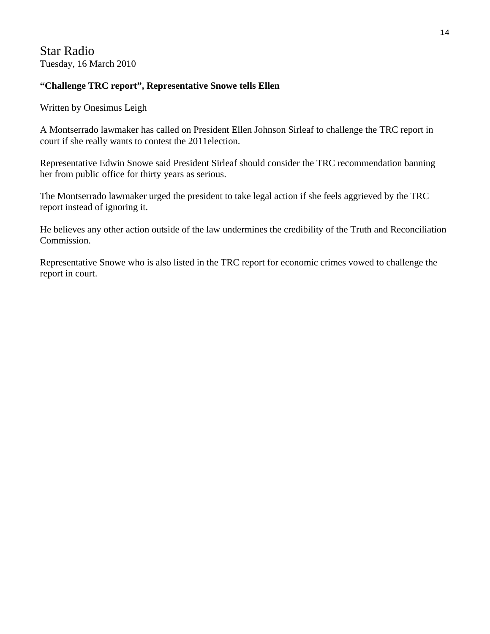# Star Radio Tuesday, 16 March 2010

### **"Challenge TRC report", Representative Snowe tells Ellen**

Written by Onesimus Leigh

A Montserrado lawmaker has called on President Ellen Johnson Sirleaf to challenge the TRC report in court if she really wants to contest the 2011election.

Representative Edwin Snowe said President Sirleaf should consider the TRC recommendation banning her from public office for thirty years as serious.

The Montserrado lawmaker urged the president to take legal action if she feels aggrieved by the TRC report instead of ignoring it.

He believes any other action outside of the law undermines the credibility of the Truth and Reconciliation Commission.

Representative Snowe who is also listed in the TRC report for economic crimes vowed to challenge the report in court.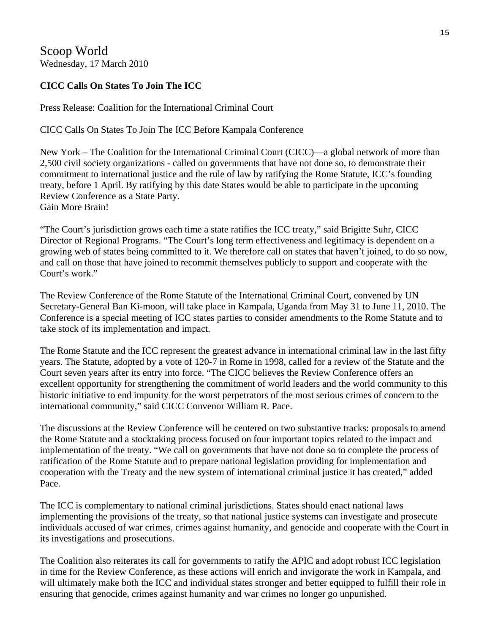Scoop World Wednesday, 17 March 2010

# **CICC Calls On States To Join The ICC**

Press Release: Coalition for the International Criminal Court

CICC Calls On States To Join The ICC Before Kampala Conference

New York – The Coalition for the International Criminal Court (CICC)—a global network of more than 2,500 civil society organizations - called on governments that have not done so, to demonstrate their commitment to international justice and the rule of law by ratifying the Rome Statute, ICC's founding treaty, before 1 April. By ratifying by this date States would be able to participate in the upcoming Review Conference as a State Party. Gain More Brain!

"The Court's jurisdiction grows each time a state ratifies the ICC treaty," said Brigitte Suhr, CICC Director of Regional Programs. "The Court's long term effectiveness and legitimacy is dependent on a growing web of states being committed to it. We therefore call on states that haven't joined, to do so now, and call on those that have joined to recommit themselves publicly to support and cooperate with the Court's work."

The Review Conference of the Rome Statute of the International Criminal Court, convened by UN Secretary-General Ban Ki-moon, will take place in Kampala, Uganda from May 31 to June 11, 2010. The Conference is a special meeting of ICC states parties to consider amendments to the Rome Statute and to take stock of its implementation and impact.

The Rome Statute and the ICC represent the greatest advance in international criminal law in the last fifty years. The Statute, adopted by a vote of 120-7 in Rome in 1998, called for a review of the Statute and the Court seven years after its entry into force. "The CICC believes the Review Conference offers an excellent opportunity for strengthening the commitment of world leaders and the world community to this historic initiative to end impunity for the worst perpetrators of the most serious crimes of concern to the international community," said CICC Convenor William R. Pace.

The discussions at the Review Conference will be centered on two substantive tracks: proposals to amend the Rome Statute and a stocktaking process focused on four important topics related to the impact and implementation of the treaty. "We call on governments that have not done so to complete the process of ratification of the Rome Statute and to prepare national legislation providing for implementation and cooperation with the Treaty and the new system of international criminal justice it has created," added Pace.

The ICC is complementary to national criminal jurisdictions. States should enact national laws implementing the provisions of the treaty, so that national justice systems can investigate and prosecute individuals accused of war crimes, crimes against humanity, and genocide and cooperate with the Court in its investigations and prosecutions.

The Coalition also reiterates its call for governments to ratify the APIC and adopt robust ICC legislation in time for the Review Conference, as these actions will enrich and invigorate the work in Kampala, and will ultimately make both the ICC and individual states stronger and better equipped to fulfill their role in ensuring that genocide, crimes against humanity and war crimes no longer go unpunished.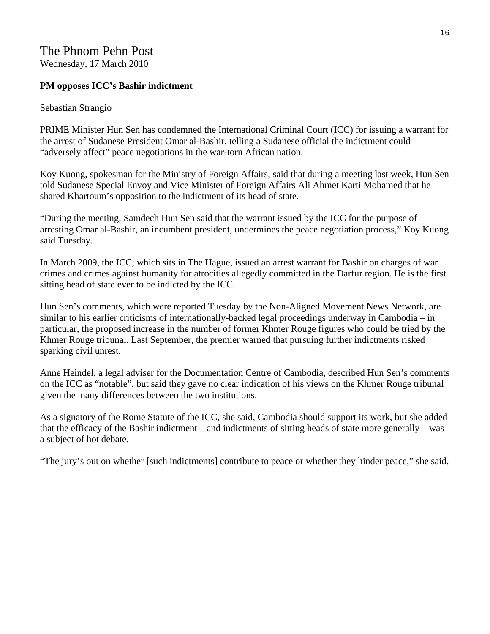# The Phnom Pehn Post Wednesday, 17 March 2010

### **PM opposes ICC's Bashir indictment**

#### Sebastian Strangio

PRIME Minister Hun Sen has condemned the International Criminal Court (ICC) for issuing a warrant for the arrest of Sudanese President Omar al-Bashir, telling a Sudanese official the indictment could "adversely affect" peace negotiations in the war-torn African nation.

Koy Kuong, spokesman for the Ministry of Foreign Affairs, said that during a meeting last week, Hun Sen told Sudanese Special Envoy and Vice Minister of Foreign Affairs Ali Ahmet Karti Mohamed that he shared Khartoum's opposition to the indictment of its head of state.

"During the meeting, Samdech Hun Sen said that the warrant issued by the ICC for the purpose of arresting Omar al-Bashir, an incumbent president, undermines the peace negotiation process," Koy Kuong said Tuesday.

In March 2009, the ICC, which sits in The Hague, issued an arrest warrant for Bashir on charges of war crimes and crimes against humanity for atrocities allegedly committed in the Darfur region. He is the first sitting head of state ever to be indicted by the ICC.

Hun Sen's comments, which were reported Tuesday by the Non-Aligned Movement News Network, are similar to his earlier criticisms of internationally-backed legal proceedings underway in Cambodia – in particular, the proposed increase in the number of former Khmer Rouge figures who could be tried by the Khmer Rouge tribunal. Last September, the premier warned that pursuing further indictments risked sparking civil unrest.

Anne Heindel, a legal adviser for the Documentation Centre of Cambodia, described Hun Sen's comments on the ICC as "notable", but said they gave no clear indication of his views on the Khmer Rouge tribunal given the many differences between the two institutions.

As a signatory of the Rome Statute of the ICC, she said, Cambodia should support its work, but she added that the efficacy of the Bashir indictment – and indictments of sitting heads of state more generally – was a subject of hot debate.

"The jury's out on whether [such indictments] contribute to peace or whether they hinder peace," she said.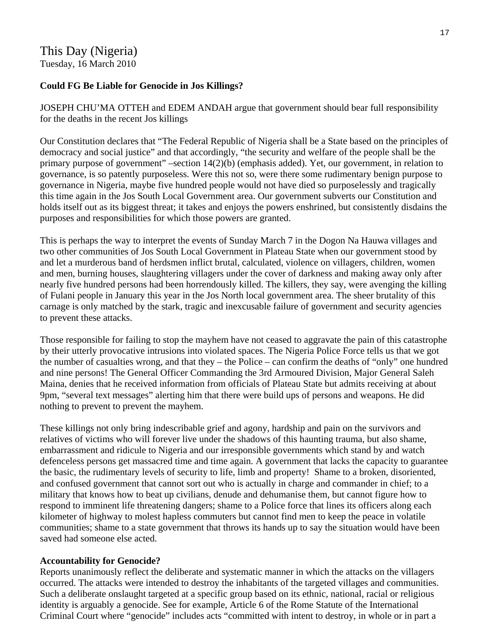# This Day (Nigeria) Tuesday, 16 March 2010

### **Could FG Be Liable for Genocide in Jos Killings?**

JOSEPH CHU'MA OTTEH and EDEM ANDAH argue that government should bear full responsibility for the deaths in the recent Jos killings

Our Constitution declares that "The Federal Republic of Nigeria shall be a State based on the principles of democracy and social justice" and that accordingly, "the security and welfare of the people shall be the primary purpose of government" –section 14(2)(b) (emphasis added). Yet, our government, in relation to governance, is so patently purposeless. Were this not so, were there some rudimentary benign purpose to governance in Nigeria, maybe five hundred people would not have died so purposelessly and tragically this time again in the Jos South Local Government area. Our government subverts our Constitution and holds itself out as its biggest threat; it takes and enjoys the powers enshrined, but consistently disdains the purposes and responsibilities for which those powers are granted.

This is perhaps the way to interpret the events of Sunday March 7 in the Dogon Na Hauwa villages and two other communities of Jos South Local Government in Plateau State when our government stood by and let a murderous band of herdsmen inflict brutal, calculated, violence on villagers, children, women and men, burning houses, slaughtering villagers under the cover of darkness and making away only after nearly five hundred persons had been horrendously killed. The killers, they say, were avenging the killing of Fulani people in January this year in the Jos North local government area. The sheer brutality of this carnage is only matched by the stark, tragic and inexcusable failure of government and security agencies to prevent these attacks.

Those responsible for failing to stop the mayhem have not ceased to aggravate the pain of this catastrophe by their utterly provocative intrusions into violated spaces. The Nigeria Police Force tells us that we got the number of casualties wrong, and that they – the Police – can confirm the deaths of "only" one hundred and nine persons! The General Officer Commanding the 3rd Armoured Division, Major General Saleh Maina, denies that he received information from officials of Plateau State but admits receiving at about 9pm, "several text messages" alerting him that there were build ups of persons and weapons. He did nothing to prevent to prevent the mayhem.

These killings not only bring indescribable grief and agony, hardship and pain on the survivors and relatives of victims who will forever live under the shadows of this haunting trauma, but also shame, embarrassment and ridicule to Nigeria and our irresponsible governments which stand by and watch defenceless persons get massacred time and time again. A government that lacks the capacity to guarantee the basic, the rudimentary levels of security to life, limb and property! Shame to a broken, disoriented, and confused government that cannot sort out who is actually in charge and commander in chief; to a military that knows how to beat up civilians, denude and dehumanise them, but cannot figure how to respond to imminent life threatening dangers; shame to a Police force that lines its officers along each kilometer of highway to molest hapless commuters but cannot find men to keep the peace in volatile communities; shame to a state government that throws its hands up to say the situation would have been saved had someone else acted.

### **Accountability for Genocide?**

Reports unanimously reflect the deliberate and systematic manner in which the attacks on the villagers occurred. The attacks were intended to destroy the inhabitants of the targeted villages and communities. Such a deliberate onslaught targeted at a specific group based on its ethnic, national, racial or religious identity is arguably a genocide. See for example, Article 6 of the Rome Statute of the International Criminal Court where "genocide" includes acts "committed with intent to destroy, in whole or in part a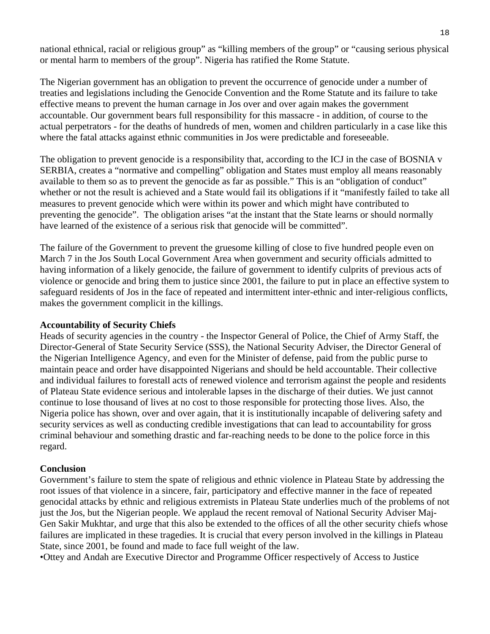national ethnical, racial or religious group" as "killing members of the group" or "causing serious physical or mental harm to members of the group". Nigeria has ratified the Rome Statute.

The Nigerian government has an obligation to prevent the occurrence of genocide under a number of treaties and legislations including the Genocide Convention and the Rome Statute and its failure to take effective means to prevent the human carnage in Jos over and over again makes the government accountable. Our government bears full responsibility for this massacre - in addition, of course to the actual perpetrators - for the deaths of hundreds of men, women and children particularly in a case like this where the fatal attacks against ethnic communities in Jos were predictable and foreseeable.

The obligation to prevent genocide is a responsibility that, according to the ICJ in the case of BOSNIA v SERBIA, creates a "normative and compelling" obligation and States must employ all means reasonably available to them so as to prevent the genocide as far as possible." This is an "obligation of conduct" whether or not the result is achieved and a State would fail its obligations if it "manifestly failed to take all measures to prevent genocide which were within its power and which might have contributed to preventing the genocide". The obligation arises "at the instant that the State learns or should normally have learned of the existence of a serious risk that genocide will be committed".

The failure of the Government to prevent the gruesome killing of close to five hundred people even on March 7 in the Jos South Local Government Area when government and security officials admitted to having information of a likely genocide, the failure of government to identify culprits of previous acts of violence or genocide and bring them to justice since 2001, the failure to put in place an effective system to safeguard residents of Jos in the face of repeated and intermittent inter-ethnic and inter-religious conflicts, makes the government complicit in the killings.

#### **Accountability of Security Chiefs**

Heads of security agencies in the country - the Inspector General of Police, the Chief of Army Staff, the Director-General of State Security Service (SSS), the National Security Adviser, the Director General of the Nigerian Intelligence Agency, and even for the Minister of defense, paid from the public purse to maintain peace and order have disappointed Nigerians and should be held accountable. Their collective and individual failures to forestall acts of renewed violence and terrorism against the people and residents of Plateau State evidence serious and intolerable lapses in the discharge of their duties. We just cannot continue to lose thousand of lives at no cost to those responsible for protecting those lives. Also, the Nigeria police has shown, over and over again, that it is institutionally incapable of delivering safety and security services as well as conducting credible investigations that can lead to accountability for gross criminal behaviour and something drastic and far-reaching needs to be done to the police force in this regard.

#### **Conclusion**

Government's failure to stem the spate of religious and ethnic violence in Plateau State by addressing the root issues of that violence in a sincere, fair, participatory and effective manner in the face of repeated genocidal attacks by ethnic and religious extremists in Plateau State underlies much of the problems of not just the Jos, but the Nigerian people. We applaud the recent removal of National Security Adviser Maj-Gen Sakir Mukhtar, and urge that this also be extended to the offices of all the other security chiefs whose failures are implicated in these tragedies. It is crucial that every person involved in the killings in Plateau State, since 2001, be found and made to face full weight of the law.

•Ottey and Andah are Executive Director and Programme Officer respectively of Access to Justice